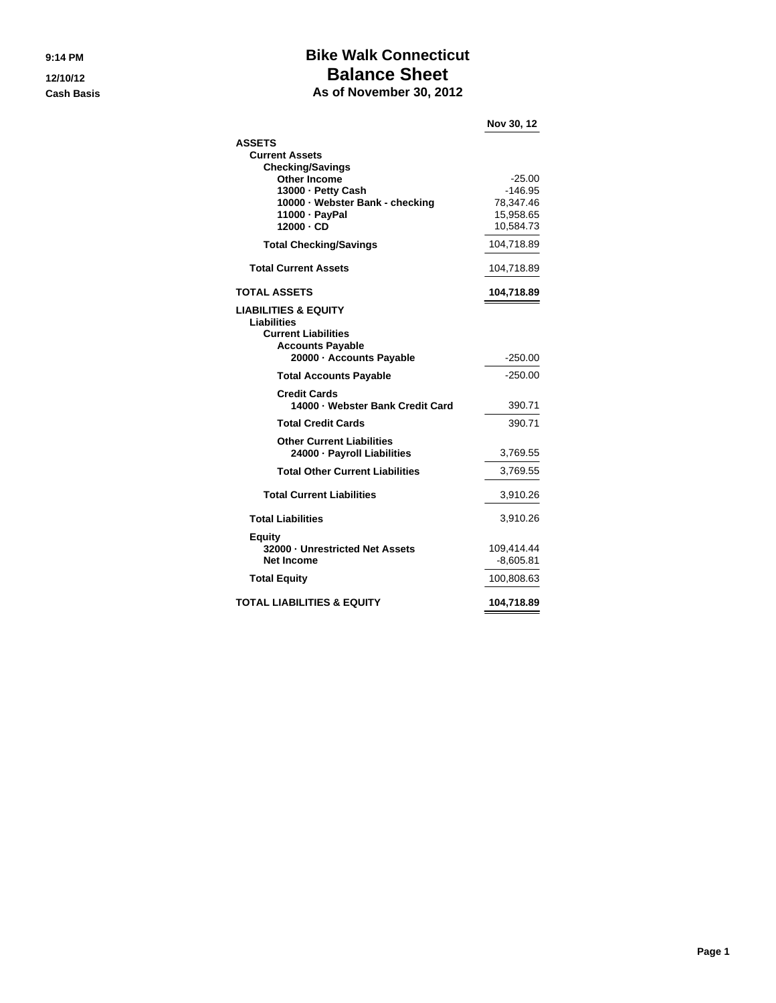## **9:14 PM Bike Walk Connecticut 12/10/12 Balance Sheet Cash Basis As of November 30, 2012**

|                                                      | Nov 30, 12             |
|------------------------------------------------------|------------------------|
| <b>ASSETS</b>                                        |                        |
| <b>Current Assets</b>                                |                        |
| <b>Checking/Savings</b>                              |                        |
| <b>Other Income</b>                                  | $-25.00$               |
| 13000 - Petty Cash                                   | -146.95                |
| 10000 · Webster Bank - checking                      | 78,347.46<br>15,958.65 |
| 11000 - PayPal<br>12000 - CD                         | 10,584.73              |
|                                                      |                        |
| <b>Total Checking/Savings</b>                        | 104,718.89             |
| <b>Total Current Assets</b>                          | 104,718.89             |
| <b>TOTAL ASSETS</b>                                  | 104,718.89             |
| <b>LIABILITIES &amp; EQUITY</b>                      |                        |
| Liabilities                                          |                        |
| <b>Current Liabilities</b>                           |                        |
| <b>Accounts Payable</b>                              |                        |
| 20000 - Accounts Payable                             | -250.00                |
| <b>Total Accounts Payable</b>                        | $-250.00$              |
| <b>Credit Cards</b>                                  |                        |
| 14000 - Webster Bank Credit Card                     | 390.71                 |
| <b>Total Credit Cards</b>                            | 390.71                 |
| <b>Other Current Liabilities</b>                     |                        |
| 24000 - Payroll Liabilities                          | 3,769.55               |
| <b>Total Other Current Liabilities</b>               | 3,769.55               |
| <b>Total Current Liabilities</b>                     | 3,910.26               |
|                                                      |                        |
| <b>Total Liabilities</b>                             | 3,910.26               |
| <b>Equity</b>                                        |                        |
| 32000 - Unrestricted Net Assets<br><b>Net Income</b> | 109,414.44             |
|                                                      | $-8,605.81$            |
| <b>Total Equity</b>                                  | 100,808.63             |
| <b>TOTAL LIABILITIES &amp; EQUITY</b>                | 104,718.89             |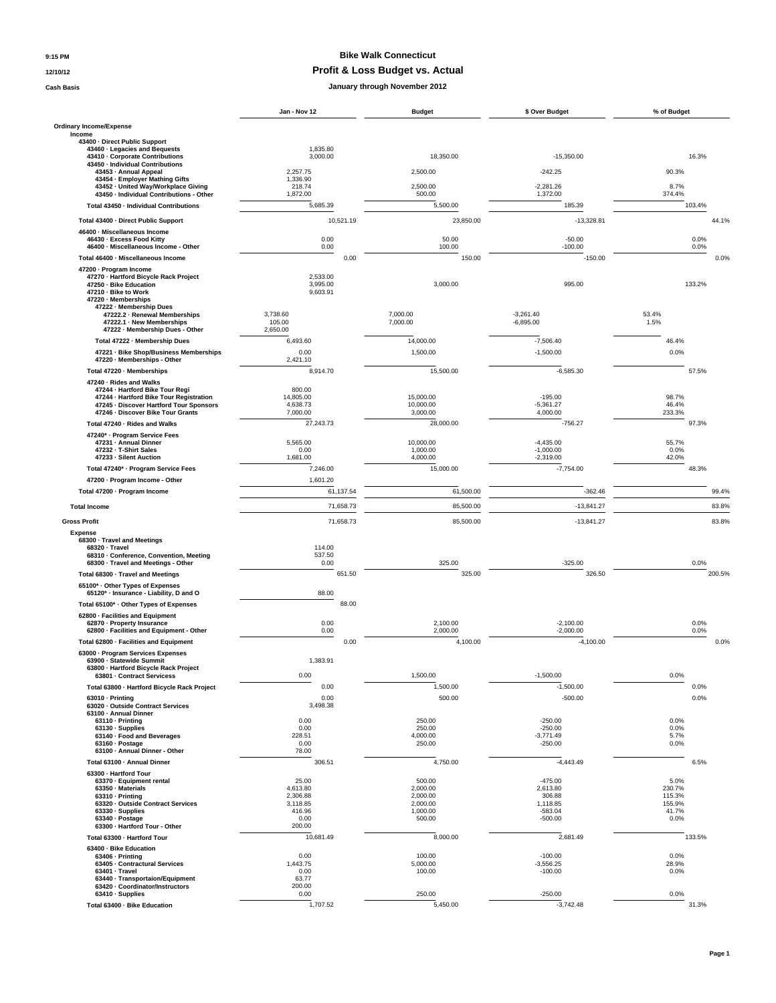## **9:15 PM Bike Walk Connecticut**

### **12/10/12 Profit & Loss Budget vs. Actual**

**Cash Basis January through November 2012**

|                                                                                                                                                            | Jan - Nov 12                                | <b>Budget</b>                      | \$ Over Budget                       | % of Budget              |
|------------------------------------------------------------------------------------------------------------------------------------------------------------|---------------------------------------------|------------------------------------|--------------------------------------|--------------------------|
| <b>Ordinary Income/Expense</b>                                                                                                                             |                                             |                                    |                                      |                          |
| Income<br>43400 - Direct Public Support                                                                                                                    |                                             |                                    |                                      |                          |
| 43460 · Legacies and Bequests<br>43410 - Corporate Contributions<br>43450 - Individual Contributions                                                       | 1,835.80<br>3,000.00                        | 18,350.00                          | $-15,350.00$                         | 16.3%                    |
| 43453 - Annual Appeal<br>43454 · Employer Mathing Gifts                                                                                                    | 2,257.75<br>1,336.90                        | 2.500.00                           | $-242.25$                            | 90.3%                    |
| 43452 · United Way/Workplace Giving                                                                                                                        | 218.74                                      | 2,500.00                           | $-2.281.26$                          | 8.7%                     |
| 43450 - Individual Contributions - Other<br>Total 43450 - Individual Contributions                                                                         | 1,872.00<br>5,685.39                        | 500.00<br>5,500.00                 | 1,372.00<br>185.39                   | 374.4%<br>103.4%         |
|                                                                                                                                                            |                                             |                                    |                                      |                          |
| Total 43400 - Direct Public Support<br>46400 · Miscellaneous Income                                                                                        | 10,521.19                                   | 23,850.00                          | $-13,328.81$                         | 44.1%                    |
| 46430 - Excess Food Kitty                                                                                                                                  | 0.00                                        | 50.00                              | $-50.00$                             | 0.0%                     |
| 46400 · Miscellaneous Income - Other<br>Total 46400 · Miscellaneous Income                                                                                 | 0.00<br>0.00                                | 100.00<br>150.00                   | $-100.00$<br>$-150.00$               | 0.0%<br>0.0%             |
| 47200 - Program Income                                                                                                                                     |                                             |                                    |                                      |                          |
| 47270 · Hartford Bicycle Rack Project<br>47250 · Bike Education<br>47210 - Bike to Work<br>47220 · Memberships                                             | 2,533.00<br>3,995.00<br>9,603.91            | 3,000.00                           | 995.00                               | 133.2%                   |
| 47222 - Membership Dues<br>47222.2 - Renewal Memberships                                                                                                   | 3,738.60                                    | 7,000.00                           | $-3,261.40$                          | 53.4%                    |
| 47222.1 · New Memberships<br>47222 - Membership Dues - Other                                                                                               | 105.00<br>2,650.00                          | 7,000.00                           | $-6,895.00$                          | 1.5%                     |
| Total 47222 - Membership Dues                                                                                                                              | 6,493.60                                    | 14,000.00                          | $-7,506.40$                          | 46.4%                    |
| 47221 · Bike Shop/Business Memberships                                                                                                                     | 0.00                                        | 1,500.00                           | $-1,500.00$                          | 0.0%                     |
| 47220 - Memberships - Other<br>Total 47220 - Memberships                                                                                                   | 2,421.10<br>8.914.70                        | 15,500.00                          | $-6,585.30$                          | 57.5%                    |
| 47240 · Rides and Walks                                                                                                                                    |                                             |                                    |                                      |                          |
| 47244 - Hartford Bike Tour Regi<br>47244 - Hartford Bike Tour Registration<br>47245 - Discover Hartford Tour Sponsors<br>47246 · Discover Bike Tour Grants | 800.00<br>14,805.00<br>4,638.73<br>7,000.00 | 15,000.00<br>10,000.00<br>3,000.00 | $-195.00$<br>$-5,361.27$<br>4,000.00 | 98.7%<br>46.4%<br>233.3% |
| Total 47240 · Rides and Walks                                                                                                                              | 27,243.73                                   | 28,000.00                          | $-756.27$                            | 97.3%                    |
| 47240* - Program Service Fees                                                                                                                              | 5,565.00                                    | 10,000.00                          | $-4,435.00$                          | 55.7%                    |
| 47231 - Annual Dinner<br>47232 - T-Shirt Sales                                                                                                             | 0.00                                        | 1,000.00                           | $-1,000.00$                          | 0.0%                     |
| 47233 - Silent Auction                                                                                                                                     | 1,681.00                                    | 4,000.00                           | $-2,319.00$                          | 42.0%                    |
| Total 47240* · Program Service Fees<br>47200 - Program Income - Other                                                                                      | 7,246.00<br>1,601.20                        | 15,000.00                          | $-7,754.00$                          | 48.3%                    |
| Total 47200 · Program Income                                                                                                                               | 61,137.54                                   | 61,500.00                          | $-362.46$                            | 99.4%                    |
| <b>Total Income</b>                                                                                                                                        | 71,658.73                                   | 85,500.00                          | $-13,841.27$                         | 83.8%                    |
| <b>Gross Profit</b>                                                                                                                                        | 71,658.73                                   | 85,500.00                          | $-13,841.27$                         | 83.8%                    |
| <b>Expense</b>                                                                                                                                             |                                             |                                    |                                      |                          |
| 68300 · Travel and Meetings<br>68320 · Travel<br>68310 · Conference, Convention, Meeting<br>68300 · Travel and Meetings - Other                            | 114.00<br>537.50<br>0.00                    | 325.00                             | $-325.00$                            | 0.0%                     |
| Total 68300 · Travel and Meetings                                                                                                                          | 651.50                                      | 325.00                             | 326.50                               | 200.5%                   |
| 65100* · Other Types of Expenses                                                                                                                           |                                             |                                    |                                      |                          |
| 65120* - Insurance - Liability, D and O                                                                                                                    | 88.00                                       |                                    |                                      |                          |
| Total 65100* · Other Types of Expenses<br>62800 · Facilities and Equipment                                                                                 | 88.00                                       |                                    |                                      |                          |
| 62870 · Property Insurance<br>62800 - Facilities and Equipment - Other                                                                                     | 0.00<br>0.00                                | 2,100.00<br>2,000.00               | $-2,100.00$<br>$-2,000.00$           | 0.0%<br>0.0%             |
| Total 62800 - Facilities and Equipment                                                                                                                     | 0.00                                        | 4,100.00                           | $-4,100.00$                          | 0.0%                     |
| 63000 · Program Services Expenses<br>63900 · Statewide Summit<br>63800 · Hartford Bicycle Rack Project                                                     | 1,383.91                                    |                                    | $-1,500.00$                          |                          |
| 63801 - Contract Servicess<br>Total 63800 - Hartford Bicycle Rack Project                                                                                  | 0.00<br>0.00                                | 1,500.00<br>1,500.00               | $-1,500.00$                          | 0.0%<br>0.0%             |
| 63010 · Printing                                                                                                                                           | 0.00                                        | 500.00                             | $-500.00$                            | 0.0%                     |
| 63020 · Outside Contract Services<br>63100 - Annual Dinner                                                                                                 | 3,498.38                                    |                                    |                                      |                          |
| 63110 - Printing<br>63130 · Supplies                                                                                                                       | 0.00<br>0.00                                | 250.00<br>250.00                   | $-250.00$<br>$-250.00$               | 0.0%<br>0.0%             |
| 63140 · Food and Beverages                                                                                                                                 | 228.51                                      | 4,000.00                           | $-3.771.49$                          | 5.7%                     |
| 63160 · Postage<br>63100 - Annual Dinner - Other                                                                                                           | 0.00<br>78.00                               | 250.00                             | $-250.00$                            | 0.0%                     |
| Total 63100 · Annual Dinner                                                                                                                                | 306.51                                      | 4,750.00                           | $-4,443.49$                          | 6.5%                     |
| 63300 - Hartford Tour<br>63370 - Equipment rental                                                                                                          | 25.00                                       | 500.00                             | $-475.00$                            | 5.0%                     |
| 63350 · Materials                                                                                                                                          | 4,613.80                                    | 2,000.00                           | 2,613.80                             | 230.7%                   |
| 63310 · Printing<br>63320 · Outside Contract Services                                                                                                      | 2,306.88<br>3,118.85                        | 2,000.00<br>2,000.00               | 306.88<br>1,118.85                   | 115.3%<br>155.9%         |
| 63330 · Supplies<br>63340 · Postage                                                                                                                        | 416.96<br>0.00                              | 1,000.00<br>500.00                 | $-583.04$<br>$-500.00$               | 41.7%<br>0.0%            |
| 63300 - Hartford Tour - Other                                                                                                                              | 200.00                                      |                                    |                                      |                          |
| Total 63300 - Hartford Tour                                                                                                                                | 10,681.49                                   | 8,000.00                           | 2,681.49                             | 133.5%                   |
| 63400 · Bike Education<br>63406 - Printing                                                                                                                 | 0.00                                        | 100.00                             | $-100.00$                            | 0.0%                     |
| 63405 - Contractural Services<br>63401 · Travel                                                                                                            | 1,443.75<br>0.00                            | 5,000.00<br>100.00                 | $-3,556.25$<br>$-100.00$             | 28.9%<br>0.0%            |
| 63440 · Transportaion/Equipment<br>63420 · Coordinator/Instructors                                                                                         | 63.77<br>200.00                             |                                    |                                      |                          |
| 63410 · Supplies                                                                                                                                           | 0.00                                        | 250.00                             | $-250.00$                            | 0.0%                     |
| Total 63400 - Bike Education                                                                                                                               | 1,707.52                                    | 5,450.00                           | $-3,742.48$                          | 31.3%                    |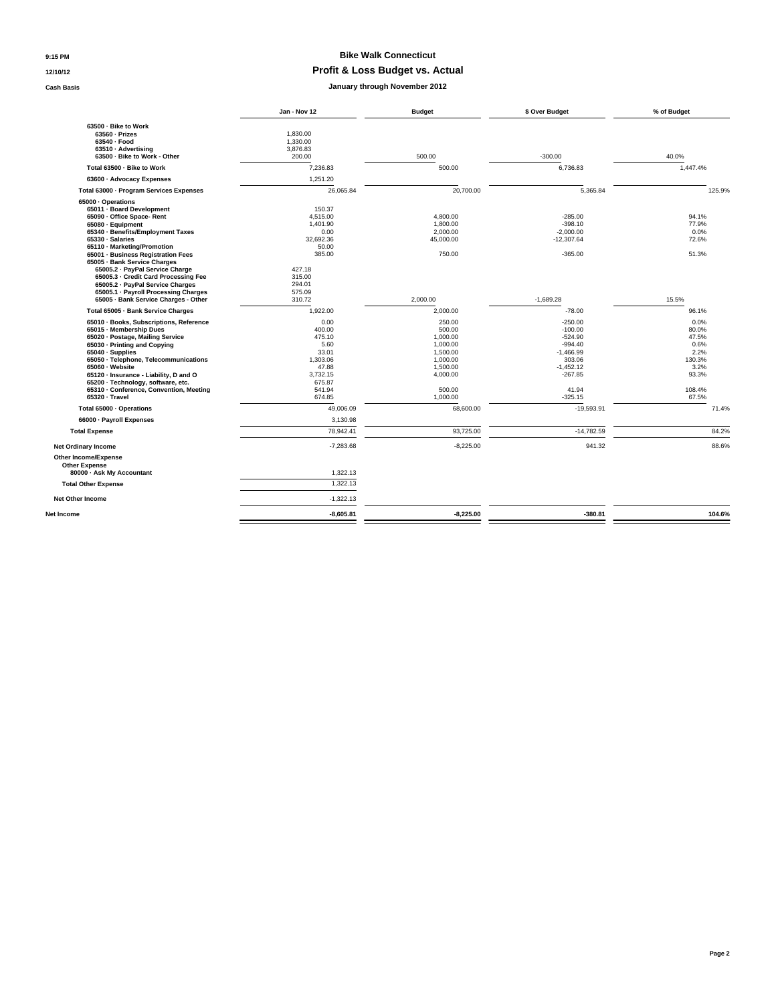### **9:15 PM Bike Walk Connecticut**

#### **12/10/12 Profit & Loss Budget vs. Actual**

**Cash Basis January through November 2012**

|                                                                                                                                                                                                                                                                                                                                                                               | Jan - Nov 12                                                                                         | <b>Budget</b>                                                                            | \$ Over Budget                                                                                        | % of Budget                                                       |
|-------------------------------------------------------------------------------------------------------------------------------------------------------------------------------------------------------------------------------------------------------------------------------------------------------------------------------------------------------------------------------|------------------------------------------------------------------------------------------------------|------------------------------------------------------------------------------------------|-------------------------------------------------------------------------------------------------------|-------------------------------------------------------------------|
| 63500 - Bike to Work<br>63560 - Prizes<br>63540 - Food<br>63510 - Advertising<br>63500 - Bike to Work - Other                                                                                                                                                                                                                                                                 | 1.830.00<br>1,330.00<br>3,876.83<br>200.00                                                           | 500.00                                                                                   | $-300.00$                                                                                             | 40.0%                                                             |
| Total 63500 - Bike to Work                                                                                                                                                                                                                                                                                                                                                    | 7.236.83                                                                                             | 500.00                                                                                   | 6,736.83                                                                                              | 1.447.4%                                                          |
| 63600 - Advocacy Expenses                                                                                                                                                                                                                                                                                                                                                     | 1,251.20                                                                                             |                                                                                          |                                                                                                       |                                                                   |
| Total 63000 - Program Services Expenses                                                                                                                                                                                                                                                                                                                                       | 26,065.84                                                                                            | 20,700.00                                                                                | 5,365.84                                                                                              | 125.9%                                                            |
| 65000 · Operations<br>65011 - Board Development<br>65090 - Office Space- Rent<br>65080 · Equipment<br>65340 · Benefits/Employment Taxes<br>65330 · Salaries<br>65110 · Marketing/Promotion<br>65001 · Business Registration Fees<br>65005 · Bank Service Charges<br>65005.2 - PayPal Service Charge<br>65005.3 Credit Card Processing Fee<br>65005.2 · PayPal Service Charges | 150.37<br>4,515.00<br>1,401.90<br>0.00<br>32.692.36<br>50.00<br>385.00<br>427.18<br>315.00<br>294.01 | 4,800.00<br>1.800.00<br>2.000.00<br>45.000.00<br>750.00                                  | $-285.00$<br>$-398.10$<br>$-2.000.00$<br>$-12.307.64$<br>$-365.00$                                    | 94.1%<br>77.9%<br>0.0%<br>72.6%<br>51.3%                          |
| 65005.1 · Payroll Processing Charges<br>65005 · Bank Service Charges - Other                                                                                                                                                                                                                                                                                                  | 575.09<br>310.72                                                                                     | 2.000.00                                                                                 | $-1.689.28$                                                                                           | 15.5%                                                             |
| Total 65005 - Bank Service Charges                                                                                                                                                                                                                                                                                                                                            | 1.922.00                                                                                             | 2,000.00                                                                                 | $-78.00$                                                                                              | 96.1%                                                             |
| 65010 · Books, Subscriptions, Reference<br>65015 - Membership Dues<br>65020 · Postage, Mailing Service<br>65030 · Printing and Copying<br>65040 · Supplies<br>65050 - Telephone, Telecommunications<br>65060 · Website<br>65120 · Insurance - Liability, D and O<br>65200 · Technology, software, etc.                                                                        | 0.00<br>400.00<br>475.10<br>5.60<br>33.01<br>1.303.06<br>47.88<br>3.732.15<br>675.87                 | 250.00<br>500.00<br>1.000.00<br>1,000.00<br>1,500.00<br>1.000.00<br>1,500.00<br>4,000.00 | $-250.00$<br>$-100.00$<br>$-524.90$<br>$-994.40$<br>$-1,466.99$<br>303.06<br>$-1,452.12$<br>$-267.85$ | 0.0%<br>80.0%<br>47.5%<br>0.6%<br>2.2%<br>130.3%<br>3.2%<br>93.3% |
| 65310 - Conference, Convention, Meeting<br>65320 · Travel                                                                                                                                                                                                                                                                                                                     | 541.94<br>674.85                                                                                     | 500.00<br>1.000.00                                                                       | 41.94<br>$-325.15$                                                                                    | 108.4%<br>67.5%                                                   |
| Total 65000 · Operations<br>66000 · Payroll Expenses                                                                                                                                                                                                                                                                                                                          | 49,006.09<br>3,130.98                                                                                | 68,600.00                                                                                | $-19,593.91$                                                                                          | 71.4%                                                             |
| <b>Total Expense</b>                                                                                                                                                                                                                                                                                                                                                          | 78,942.41                                                                                            | 93,725.00                                                                                | $-14,782.59$                                                                                          | 84.2%                                                             |
| <b>Net Ordinary Income</b>                                                                                                                                                                                                                                                                                                                                                    | $-7.283.68$                                                                                          | $-8.225.00$                                                                              | 941.32                                                                                                | 88.6%                                                             |
| Other Income/Expense<br><b>Other Expense</b><br>80000 - Ask My Accountant<br><b>Total Other Expense</b><br><b>Net Other Income</b>                                                                                                                                                                                                                                            | 1,322.13<br>1,322.13<br>$-1,322.13$                                                                  |                                                                                          |                                                                                                       |                                                                   |
| Net Income                                                                                                                                                                                                                                                                                                                                                                    | $-8,605.81$                                                                                          | $-8,225.00$                                                                              | $-380.81$                                                                                             | 104.6%                                                            |
|                                                                                                                                                                                                                                                                                                                                                                               |                                                                                                      |                                                                                          |                                                                                                       |                                                                   |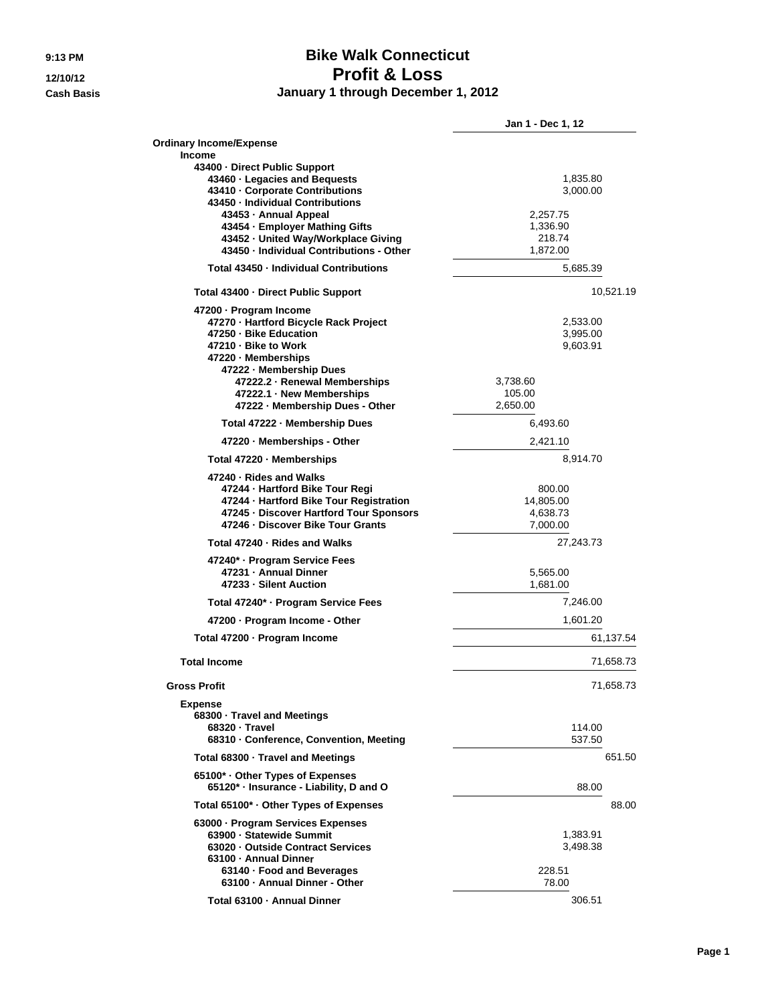# **9:13 PM Bike Walk Connecticut 12/10/12 Profit & Loss Cash Basis January 1 through December 1, 2012**

|                                                                       | Jan 1 - Dec 1, 12    |  |
|-----------------------------------------------------------------------|----------------------|--|
| <b>Ordinary Income/Expense</b>                                        |                      |  |
| Income<br>43400 - Direct Public Support                               |                      |  |
| 43460 · Legacies and Bequests                                         | 1,835.80             |  |
| 43410 - Corporate Contributions<br>43450 - Individual Contributions   | 3,000.00             |  |
| 43453 - Annual Appeal                                                 | 2,257.75             |  |
| 43454 · Employer Mathing Gifts                                        | 1,336.90             |  |
| 43452 - United Way/Workplace Giving                                   | 218.74               |  |
| 43450 · Individual Contributions - Other                              | 1,872.00             |  |
| Total 43450 - Individual Contributions                                | 5,685.39             |  |
| Total 43400 - Direct Public Support                                   | 10,521.19            |  |
| 47200 · Program Income                                                |                      |  |
| 47270 - Hartford Bicycle Rack Project                                 | 2,533.00             |  |
| 47250 - Bike Education                                                | 3,995.00             |  |
| 47210 - Bike to Work                                                  | 9,603.91             |  |
| 47220 - Memberships                                                   |                      |  |
| 47222 - Membership Dues                                               |                      |  |
| 47222.2 - Renewal Memberships                                         | 3,738.60             |  |
| 47222.1 - New Memberships                                             | 105.00               |  |
| 47222 - Membership Dues - Other                                       | 2,650.00             |  |
| Total 47222 - Membership Dues                                         | 6,493.60             |  |
| 47220 - Memberships - Other                                           | 2,421.10             |  |
| Total 47220 · Memberships                                             | 8,914.70             |  |
| 47240 · Rides and Walks                                               |                      |  |
| 47244 - Hartford Bike Tour Regi                                       | 800.00               |  |
| 47244 - Hartford Bike Tour Registration                               | 14,805.00            |  |
| 47245 - Discover Hartford Tour Sponsors                               | 4,638.73             |  |
| 47246 - Discover Bike Tour Grants                                     | 7,000.00             |  |
| Total 47240 - Rides and Walks                                         | 27,243.73            |  |
| 47240* · Program Service Fees<br>47231 - Annual Dinner                |                      |  |
|                                                                       | 5,565.00             |  |
| 47233 - Silent Auction                                                | 1,681.00             |  |
| Total 47240* · Program Service Fees<br>47200 - Program Income - Other | 7,246.00<br>1,601.20 |  |
| Total 47200 · Program Income                                          | 61,137.54            |  |
| <b>Total Income</b>                                                   | 71,658.73            |  |
|                                                                       |                      |  |
| <b>Gross Profit</b>                                                   | 71,658.73            |  |
| Expense<br>68300 · Travel and Meetings                                |                      |  |
| 68320 - Travel                                                        | 114.00               |  |
| 68310 - Conference, Convention, Meeting                               | 537.50               |  |
| Total 68300 - Travel and Meetings                                     | 651.50               |  |
| 65100* Other Types of Expenses                                        |                      |  |
| 65120* · Insurance - Liability, D and O                               | 88.00                |  |
| Total 65100* · Other Types of Expenses                                | 88.00                |  |
| 63000 · Program Services Expenses                                     |                      |  |
| 63900 - Statewide Summit                                              | 1,383.91             |  |
| 63020 - Outside Contract Services                                     | 3,498.38             |  |
| 63100 - Annual Dinner                                                 |                      |  |
| 63140 · Food and Beverages                                            | 228.51               |  |
| 63100 - Annual Dinner - Other                                         | 78.00                |  |
| Total 63100 - Annual Dinner                                           | 306.51               |  |